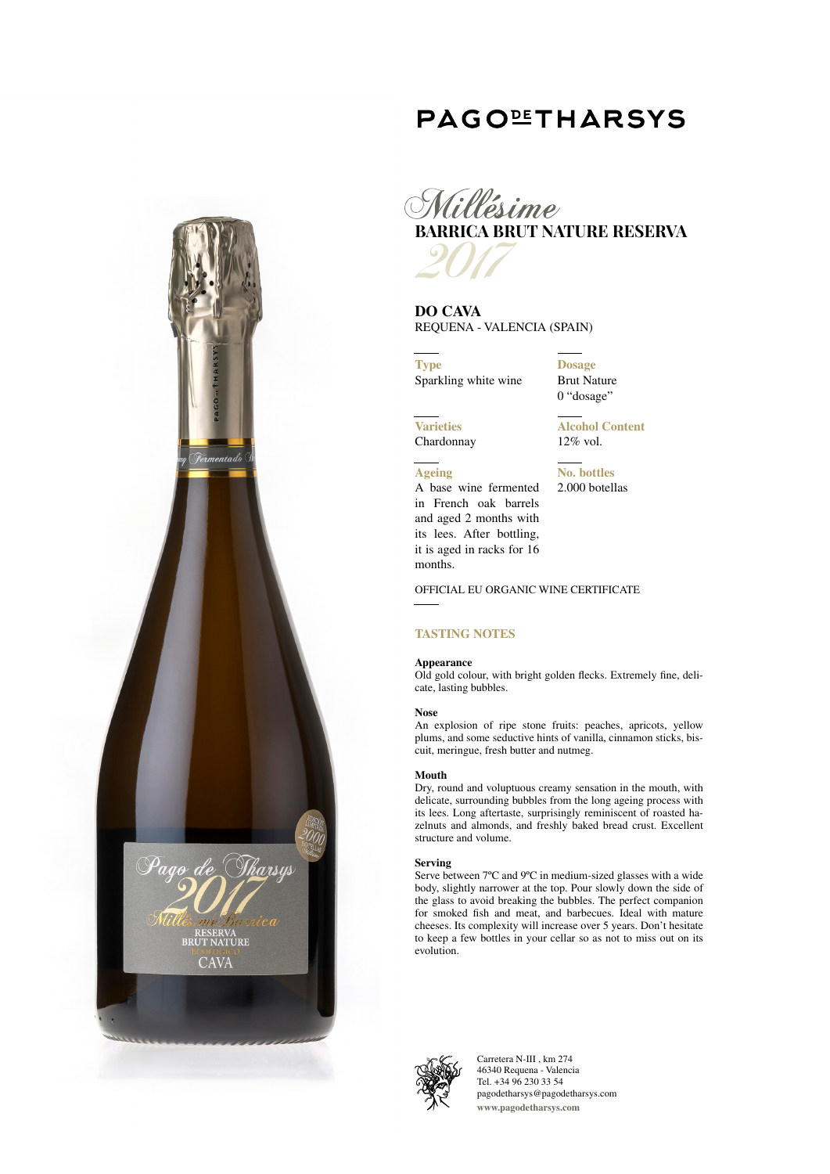# **PAGOLETHARSYS**



**DO CAVA** REQUENA - VALENCIA (SPAIN)

**Type** Sparkling white wine **Dosage** Brut Nature 0 "dosage"

**Varieties** Chardonnay **Alcohol Content** 12% vol.

**No. bottles** 2.000 botellas

**Ageing**

A base wine fermented in French oak barrels and aged 2 months with its lees. After bottling, it is aged in racks for 16 months.

OFFICIAL EU ORGANIC WINE CERTIFICATE

# **TASTING NOTES**

# **Appearance**

Old gold colour, with bright golden flecks. Extremely fine, delicate, lasting bubbles.

## **Nose**

An explosion of ripe stone fruits: peaches, apricots, yellow plums, and some seductive hints of vanilla, cinnamon sticks, biscuit, meringue, fresh butter and nutmeg.

#### **Mouth**

Dry, round and voluptuous creamy sensation in the mouth, with delicate, surrounding bubbles from the long ageing process with its lees. Long aftertaste, surprisingly reminiscent of roasted hazelnuts and almonds, and freshly baked bread crust. Excellent structure and volume.

## **Serving**

Serve between 7ºC and 9ºC in medium-sized glasses with a wide body, slightly narrower at the top. Pour slowly down the side of the glass to avoid breaking the bubbles. The perfect companion for smoked fish and meat, and barbecues. Ideal with mature cheeses. Its complexity will increase over 5 years. Don't hesitate to keep a few bottles in your cellar so as not to miss out on its evolution.



Carretera N-III , km 274 46340 Requena - Valencia Tel. +34 96 230 33 54 pagodetharsys@pagodetharsys.com **www.pagodetharsys.com**